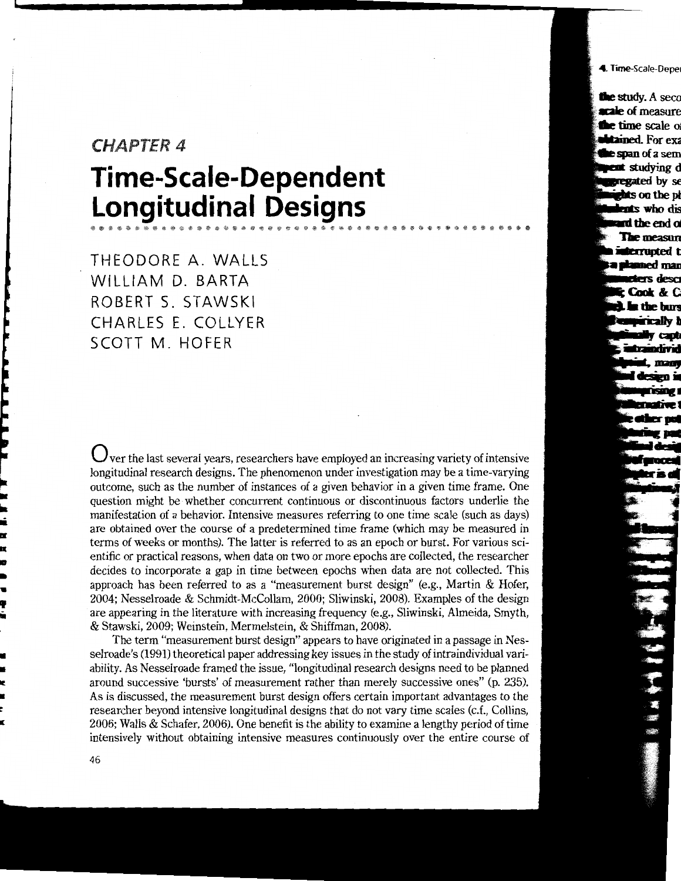## **CHAPTER 4**

# **Time-Scale-Dependent Longitudinal Designs**

THEODORE A. WALLS WILLIAM D. BARTA ROBERT S. STAWSKI CHARLES E. COLLYER SCOTT M. HOFER

 $\bigcup$  ver the last several years, researchers have employed an increasing variety of intensive longitudinal research designs. The phenomenon under investigation may be a time-varying outcome, such as the number of instances of a given behavior in a given time frame. One question might be whether concurrent continuous or discontinuous factors underlie the manifestation of a behavior. Intensive measures referring to one time scale (such as days) are obtained over the course of a predetermined time frame (which may be measured in terms of weeks or months). The latter is referred to as an epoch or burst. For various scientific or practical reasons, when data on two or more epochs are collected, the researcher decides to incorporate a gap in time between epochs when data are not collected. This approach has been referred to as a "measurement burst design" (e.g., Martin & Hofer, 2004; Nesselroade & Schmidt-McCollam, 2000; Sliwinski, 2008). Examples of the design are appearing in the literature with increasing frequency (e.g., Sliwinski, Almeida, Smyth, & Stawski, 2009; Weinstein, Mermelstein, & Shiffman, 2008).

The term "measurement burst design" appears to have originated in a passage in Nesselroade's (1991) theoretical paper addressing key issues in the study of intraindividual variability. As Nesselroade framed the issue, "longitudinal research designs need to be planned around successive 'bursts' of measurement rather than merely successive ones" (p. 235). As is discussed, the measurement burst design offers certain important advantages to the researcher beyond intensive longitudinal designs that do not vary time scales (c.f., Collins, 2006; Walls & Schafer, 2006). One benefit is the ability to examine a lengthy period of time intensively without obtaining intensive measures continuously over the entire course of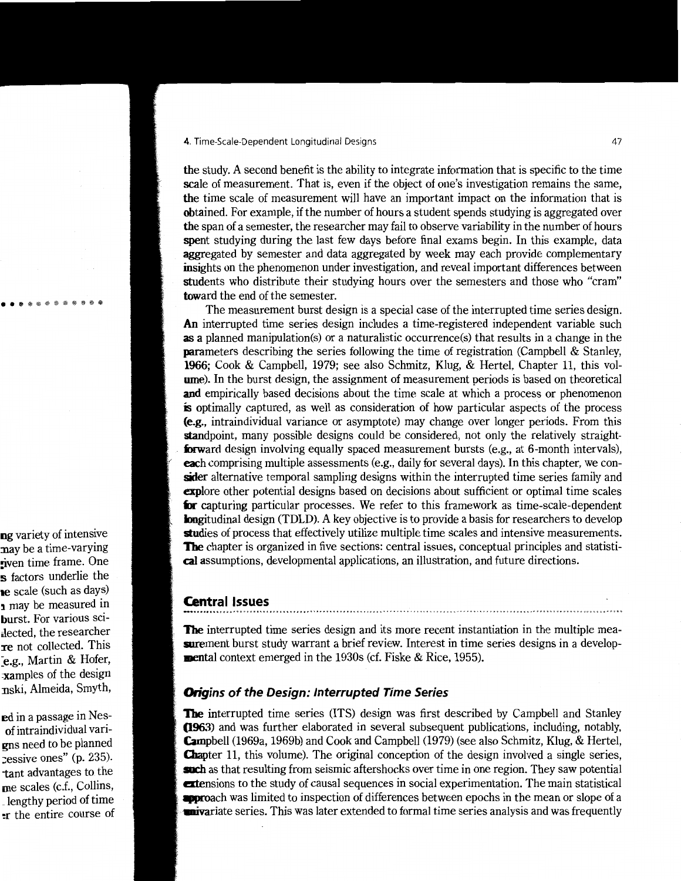the study. A second benefit is the ability to integrate information that is specific to the time scale of measurement. That is, even if the object of one's investigation remains the same, the time scale of measurement will have an important impact on the information that is obtained. For example, if the number of hours a student spends studying is aggregated over the span of a semester, the researcher may fail to observe variability in the number of hours spent studying during the last few days before final exams begin. In this example, data aggregated by semester and data aggregated by week may each provide complementary insights on the phenomenon under investigation, and reveal important differences between students who distribute their studying hours over the semesters and those who "cram" toward the end of the semester.

The measurement burst design is a special case of the interrupted time series design. An interrupted time series design includes a time-registered independent variable such as a planned manipulation(s) or a naturalistic occurrence(s) that results in a change in the parameters describing the series following the time of registration (Campbell & Stanley, 1966; Cook & Campbell, 1979; see also Schmitz, Klug, & Hertel, Chapter 11, this vol**ume**). In the burst design, the assignment of measurement periods is based on theoretical and empirically based decisions about the time scale at which a process or phenomenon is optimally captured, as well as consideration of how particular aspects of the process (e.g., intraindividual variance or asymptote) may change over longer periods. From this standpoint, many possible designs could be considered, not only the relatively straightforward design involving equally spaced measurement bursts (e.g., at 6-month intervals), **each** comprising multiple assessments (e.g., daily for several days). In this chapter, we consider alternative temporal sampling designs within the interrupted time series family and explore other potential designs based on decisions about sufficient or optimal time scales for capturing particular processes. We refer to this framework as time-scale-dependent longitudinal design (TDLD). A key objective is to provide a basis for researchers to develop studies of process that effectively utilize multiple time scales and intensive measurements. The chapter is organized in five sections: central issues, conceptual principles and statistical assumptions, developmental applications, an illustration, and future directions.

#### **Central** Issues

**The** interrupted time series design and its more recent instantiation in the multiple measurement burst study warrant a brief review. Interest in time series designs in a developmental context emerged in the 1930s (cf. Fiske & Rice, 1955).

#### **Origins of the Design: Interrupted Time Series**

**The** interrupted time series (ITS) design was first described by Campbell and Stanley (1963) and was further elaborated in several subsequent publications, including, notably, Campbell (1969a, 1969b) and Cook and Campbell (1979) (see also Schmitz, Klug, & Hertel, **Chapter 11, this volume).** The original conception of the design involved a single series, such as that resulting from seismic aftershocks over time in one region. They saw potential atensions to the study of causal sequences in social experimentation. The main statistical **Exproach** was limited to inspection of differences between epochs in the mean or slope of a **Example 1** interest This was later extended to formal time series analysis and was frequently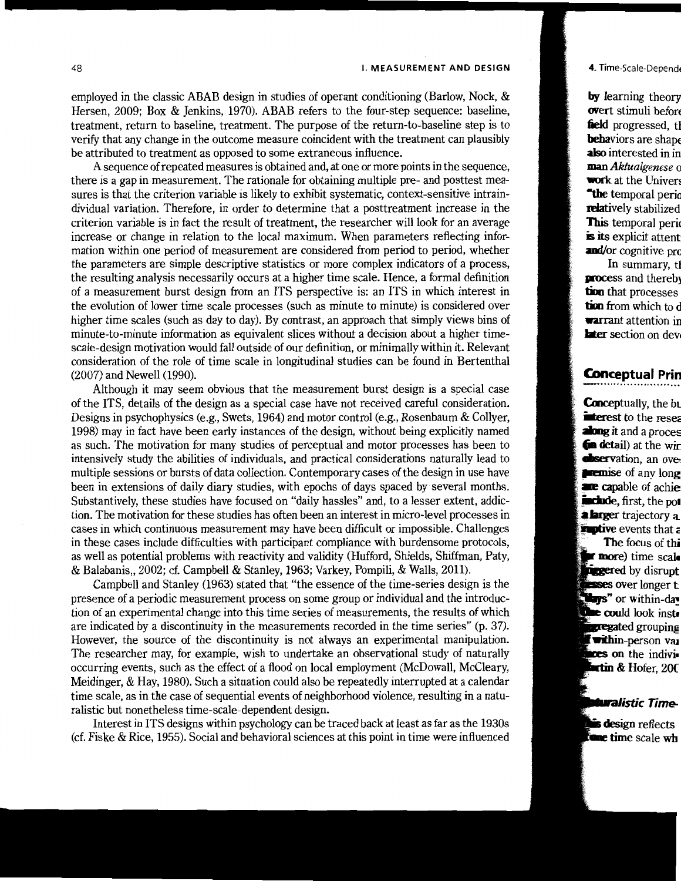employed in the classic ABAB design in studies of operant conditioning (Barlow, Nock, & Hersen, 2009; Box & Jenkins, 1970). ABAB refers to the four-step sequence: baseline, treatment, return to baseline, treatment. The purpose of the return-to-baseline step is to verify that any change in the outcome measure coincident with the treatment can plausibly be attributed to treatment as opposed to some extraneous influence.

A sequence of repeated measures is obtained and, at one or more points in the sequence, there is a gap in measurement. The rationale for obtaining multiple pre- and posttest measures is that the criterion variable is likely to exhibit systematic, context-sensitive intraindividual variation. Therefore, in order to determine that a posttreatment increase in the criterion variable is in fact the result of treatment, the researcher will look for an average increase or change in relation to the local maximum. When parameters reflecting information within one period of measurement are considered from period to period, whether the parameters are simple descriptive statistics or more complex indicators of a process, the resulting analysis necessarily occurs at a higher time scale. Hence, a formal definition of a measurement burst design from an ITS perspective is: an ITS in which interest in the evolution of lower time scale processes (such as minute to minute) is considered over higher time scales (such as day to day). By contrast, an approach that simply views bins of minute-to-minute information as equivalent slices without a decision about a higher timescale-design motivation would fall outside of our definition, or minimally within it. Relevant consideration of the role of time scale in longitudinal studies can be found in Bertenthal (2007) and Newell (1990).

Although it may seem obvious that the measurement burst design is a special case of the ITS, details of the design as a special case have not received careful consideration. Designs in psychophysics (e.g., Swets, 1964) and motor control (e.g., Rosenbaum & Collyer, 1998) may in fact have been early instances of the design, without being explicitly named as such. The motivation for many studies of perceptual and motor processes has been to intensively study the abilities of individuals, and practical considerations naturally lead to multiple sessions or bursts of data collection. Contemporary cases of the design in use have been in extensions of daily diary studies, with epochs of days spaced by several months. Substantively, these studies have focused on "daily hassles" and, to a lesser extent, addiction. The motivation for these studies has often been an interest in micro-level processes in cases in which continuous measurement may have been difficult or impossible. Challenges in these cases include difficulties with participant compliance with burdensome protocols, as well as potential problems with reactivity and validity (Hufford, Shields, Shiffman, Paty, & Balabanis,, 2002; cf. Campbell & Stanley, 1963; Varkey, Pompili, & Walls, 2011).

Campbell and Stanley (1963) stated that "the essence of the time-series design is the presence of a periodic measurement process on some group or individual and the introduction of an experimental change into this time series of measurements, the results of which are indicated by a discontinuity in the measurements recorded in the time series" (p. 37). However, the source of the discontinuity is not always an experimental manipulation. The researcher may, for example, wish to undertake an observational study of naturally occurring events, such as the effect of a flood on local employment (McDowall, McCleary, Meidinger, & Hay, 1980). Such a situation could also be repeatedly interrupted at a calendar time scale, as in the case of sequential events of neighborhood violence, resulting in a naturalistic but nonetheless time-scale-dependent design.

Interest in ITS designs within psychology can be traced back at least as far as the 1930s (cf. Fiske & Rice, 1955). Social and behavioral sciences at this point in time were influenced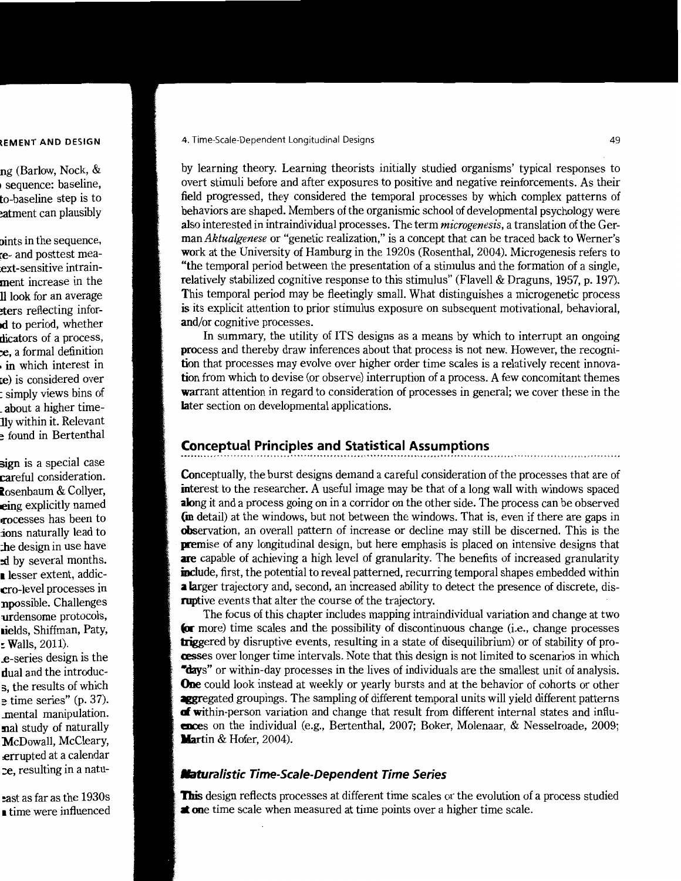by learning theory. Learning theorists initially studied organisms' typical responses to overt stimuli before and after exposures to positive and negative reinforcements. As their field progressed, they considered the temporal processes by which complex patterns of behaviors are shaped. Members of the organismic school of developmental psychology were also interested in intraindividual processes. The term *microgenesis,* a translation of the German *Aktualgenese* or "genetic realization," is a concept that can be traced back to Werner's work at the University of Hamburg in the 1920s (Rosenthal, 2004). Microgenesis refers to "the temporal period between the presentation of a stimulus and the formation of a single, relatively stabilized cognitive response to this stimulus" (Flavell & Draguns, 1957, p. 197). This temporal period may be fleetingly small. What distinguishes a microgenetic process is its explicit attention to prior stimulus exposure on subsequent motivational, behavioral, and/or cognitive processes.

In summary, the utility of ITS designs as a means by which to interrupt an ongoing process and thereby draw inferences about that process is not new. However, the recognition that processes may evolve over higher order time scales is a relatively recent innovation from which to devise (or observe) interruption of a process. A few concomitant themes warrant attention in regard to consideration of processes in general; we cover these in the later section on developmental applications.

#### **Conceptual Principles and Statistical Assumptions** •••••••••~,. .. ~~ .. ~•--~••••••••••••~••~••~,-•••.,•• .... ~ .. ,..,\*•~•••••• .. •••.,~• .. """"••• .. ••••• .. ••••••,-••"'•••• .. •••"'••"~~•• .. "••~••••o""\*\*•~~•~"''\*••

Conceptually, the burst designs demand a careful consideration of the processes that are of interest to the researcher. A useful image may be that of a long wall with windows spaced along it and a process going on in a corridor on the other side. The process can be observed **(in** detail) at the windows, but not between the windows. That is, even if there are gaps in observation, an overall pattern of increase or decline may still be discerned. This is the premise of any longitudinal design, but here emphasis is placed on intensive designs that **are** capable of achieving a high level of granularity. The benefits of increased granularity include, first, the potential to reveal patterned, recurring temporal shapes embedded within **a larger trajectory and, second, an increased ability to detect the presence of discrete, dis**ruptive events that alter the course of the trajectory.

The focus of this chapter includes mapping intraindividual variation and change at two **p** $\alpha$  more) time scales and the possibility of discontinuous change (i.e., change processes **triggered** by disruptive events, resulting in a state of disequilibrium) or of stability of processes over longer time intervals. Note that this design is not limited to scenarios in which **"days**" or within-day processes in the lives of individuals are the smallest unit of analysis. **One** could look instead at weekly or yearly bursts and at the behavior of cohorts or other **aggregated groupings.** The sampling of different temporal units will yield different patterns **of within-person variation and change that result from different internal states and influ**aces on the individual (e.g., Bertenthal, 2007; Boker, Molenaar, & Nesselroade, 2009; Martin & Hofer, 2004).

#### **llaturalistic Time-Scale-Dependent Time Series**

**This** design reflects processes at different time scales or the evolution of a process studied to time scale when measured at time points over a higher time scale.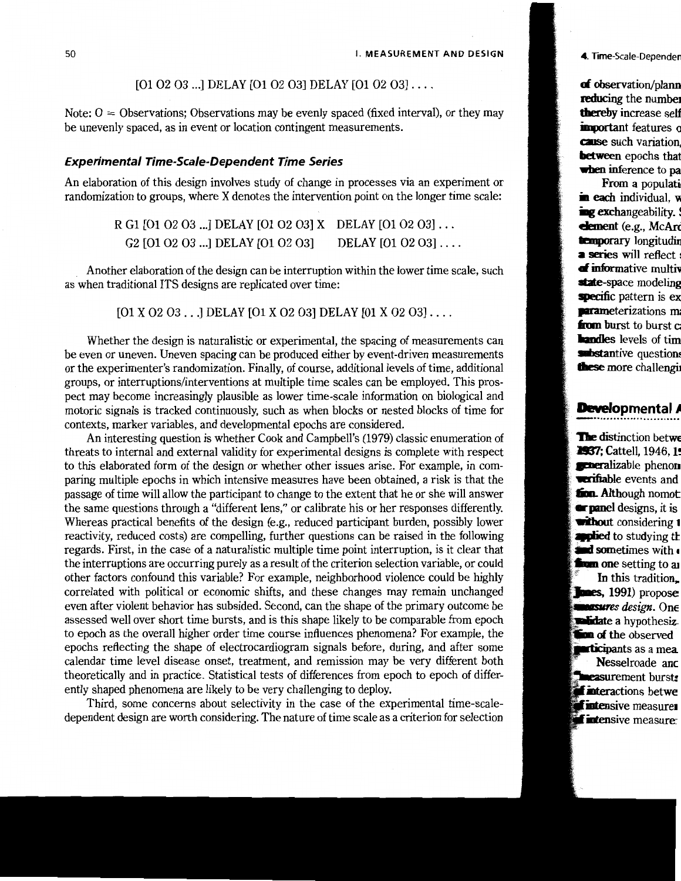#### [01 02 03 ...] DELAY [01 02 03] DELAY [01 02 03] ....

Note:  $0 =$  Observations; Observations may be evenly spaced (fixed interval), or they may be unevenly spaced, as in event or location contingent measurements.

#### **Experimental Time-Scale-Dependent Time Series**

An elaboration of this design involves study of change in processes via an experiment or randomization to groups, where X denotes the intervention point on the longer time scale:

> R G1 [01 02 03 ...] DELAY [01 02 03] X DELAY [01 02 03] ... G<sub>2</sub> [O<sub>1</sub> O<sub>2</sub> O<sub>3</sub> ...] DELAY [O<sub>1</sub> O<sub>2</sub> O<sub>3</sub>] DELAY [O<sub>1</sub> O<sub>2</sub> O<sub>3</sub>] ....

Another elaboration of the design can be interruption within the lower time scale, such as when traditional ITS designs are replicated over time:

[01 X 02 03 ... ] DELAY [01 X 02 03] DELAY [01 X 02 03] ....

Whether the design is naturalistic or experimental, the spacing of measurements can be even or uneven. Uneven spacing can be produced either by event-driven measurements or the experimenter's randomization. Finally, of course, additional levels of time, additional groups, or interruptions/interventions at multiple time scales can be employed. This prospect may become increasingly plausible as lower time-scale information on biological and motoric signals is tracked continuously, such as when blocks or nested blocks of time for contexts, marker variables, and developmental epochs are considered.

An interesting question is whether Cook and Campbell's (1979) classic enumeration of threats to internal and external validity for experimental designs is complete with respect to this elaborated form of the design or whether other issues arise. For example, in comparing multiple epochs in which intensive measures have been obtained, a risk is that the passage of time will allow the participant to change to the extent that he or she will answer the same questions through a "different lens," or calibrate his or her responses differently. Whereas practical benefits of the design (e.g., reduced participant burden, possibly lower reactivity, reduced costs) are compelling, further questions can be raised in the following regards. First, in the case of a naturalistic multiple time point interruption, is it clear that the interruptions are occurring purely as a result of the criterion selection variable, or could other factors confound this variable? For example, neighborhood violence could be highly correlated with political or economic shifts, and these changes may remain unchanged even after violent behavior has subsided. Second, can the shape of the primary outcome be assessed well over short time bursts, and is this shape likely to be comparable from epoch to epoch as the overall higher order time course influences phenomena? For example, the epochs reflecting the shape of electrocardiogram signals before, during, and after some calendar time level disease onset, treatment, and remission may be very different both theoretically and in practice. Statistical tests of differences from epoch to epoch of differently shaped phenomena are likely to be very challenging to deploy.

Third, some concerns about selectivity in the case of the experimental time-scaledependent design are worth considering. The nature of time scale as a criterion for selection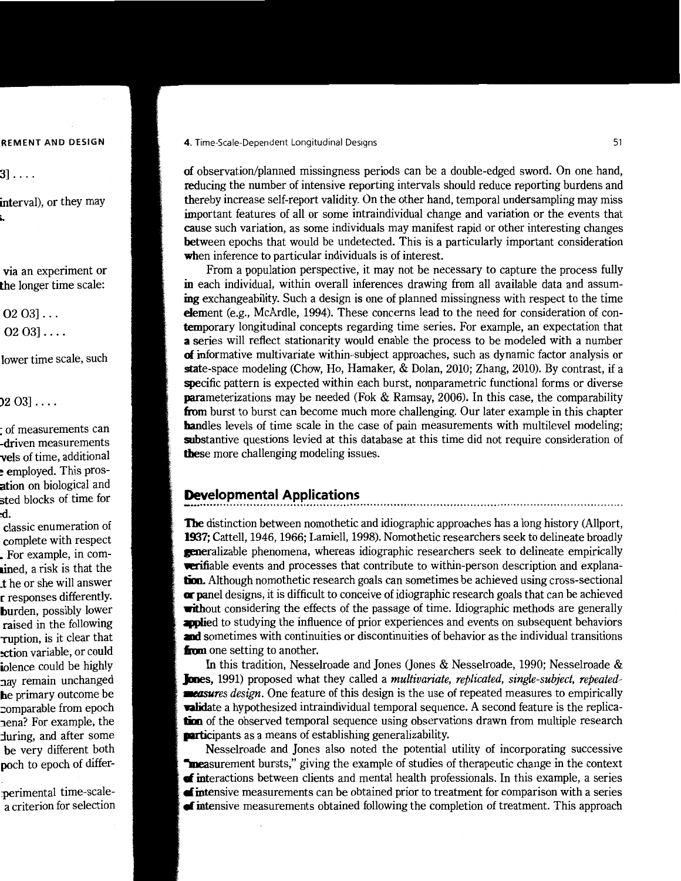of observation/planned missingness periods can be a double-edged sword. On one hand, reducing the number of intensive reporting intervals should reduce reporting burdens and thereby increase self-report validity. On the other hand, temporal undersampling may miss important features of all or some intraindividual change and variation or the events that cause such variation, as some individuals may manifest rapid or other interesting changes between epochs that would be undetected. This is a particularly important consideration when inference to particular individuals is of interest.

From a population perspective, it may not be necessary to capture the process fully in each individual, within overall inferences drawing from all available data and assuming exchangeability. Such a design is one of planned missingness with respect to the time **element** (e.g., McArdle, 1994). These concerns lead to the need for consideration of contemporary longitudinal concepts regarding time series. For example, an expectation that a series will reflect stationarity would enable the process to be modeled with a number of informative multivariate within-subject approaches, such as dynamic factor analysis or state-space modeling (Chow, Ho, Hamaker, & Dolan, 2010; Zhang, 2010). By contrast, if a specific pattern is expected within each burst, nonparametric functional forms or diverse parameterizations may be needed (Fok & Ramsay, 2006). In this case, the comparability from burst to burst can become much more challenging. Our later example in this chapter **handles** levels of time scale in the case of pain measurements with multilevel modeling; substantive questions levied at this database at this time did not require consideration of **these** more challenging modeling issues.

### **Developmental Applications**

**The** distinction between nomothetic and idiographic approaches has a long history (Allport, 1937; Cattell, 1946, 1966; Lamiell, 1998). Nomothetic researchers seek to delineate broadly **generalizable phenomena, whereas idiographic researchers seek to delineate empirically werifiable events and processes that contribute to within-person description and explanation.** Although nomothetic research goals can sometimes be achieved using cross-sectional **or panel designs, it is difficult to conceive of idiographic research goals that can be achieved** without considering the effects of the passage of time. Idiographic methods are generally **applied** to studying the influence of prior experiences and events on subsequent behaviors **and** sometimes with continuities or discontinuities of behavior as the individual transitions **from** one setting to another.

In this tradition, Nesselroade and Jones (Jones & Nesselroade, 1990; Nesselroade  $\&$ **)ones,** 1991) proposed what they called a *multivariate, replicated, single-subject, repeated***measures design.** One feature of this design is the use of repeated measures to empirically **validate** a hypothesized intraindividual temporal sequence. A second feature is the replica**tion** of the observed temporal sequence using observations drawn from multiple research **participants as a means of establishing generalizability.** 

Nesselroade and Jones also noted the potential utility of incorporating successive **Imeasurement bursts,"** giving the example of studies of therapeutic change in the context **of interactions between clients and mental health professionals.** In this example, a series **finitionally** intensive measurements can be obtained prior to treatment for comparison with a series **finition** measurements obtained following the completion of treatment. This approach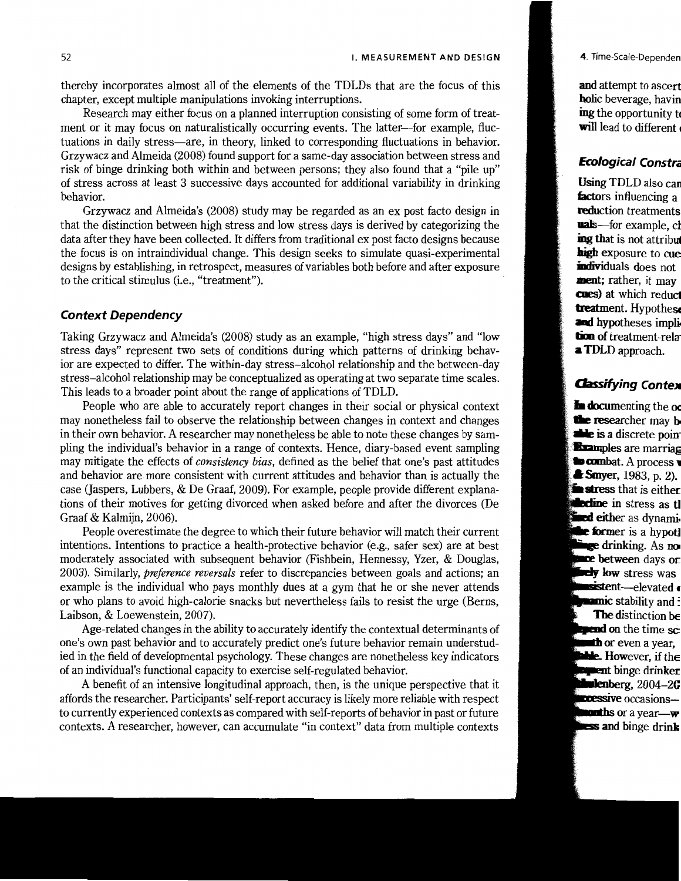thereby incorporates almost all of the elements of the TDLDs that are the focus of this chapter, except multiple manipulations invoking interruptions.

Research may either focus on a planned interruption consisting of some form of treatment or it may focus on naturalistically occurring events. The latter-for example, fluctuations in daily stress-are, in theory, linked to corresponding fluctuations in behavior. Grzywacz and Almeida (2008) found support for a same-day association between stress and risk of binge drinking both within and between persons; they also found that a "pile up" of stress across at least 3 successive days accounted for additional variability in drinking behavior.

Grzywacz and Almeida's (2008) study may be regarded as an ex post facto design in that the distinction between high stress and low stress days is derived by categorizing the data after they have been collected. It differs from traditional ex post facto designs because the focus is on intraindividual change. This design seeks to simulate quasi-experimental designs by establishing, in retrospect, measures of variables both before and after exposure to the critical stimulus (i.e., "treatment").

#### Context Dependency

Taking Grzywacz and Almeida's (2008) study as an example, "high stress days" and "low stress days" represent two sets of conditions during which patterns of drinking behavior are expected to differ. The within-day stress-alcohol relationship and the between-day stress-alcohol relationship may be conceptualized as operating at two separate time scales. This leads to a broader point about the range of applications of TDLD.

People who are able to accurately report changes in their social or physical context may nonetheless fail to observe the relationship between changes in context and changes in their own behavior. A researcher may nonetheless be able to note these changes by sampling the individual's behavior in a range of contexts. Hence, diary-based event sampling may mitigate the effects of *consistency bias,* defined as the belief that one's past attitudes and behavior are more consistent with current attitudes and behavior than is actually the case (Jaspers, Lubbers, & De Graaf, 2009). For example, people provide different explanations of their motives for getting divorced when asked before and after the divorces (De Graaf & Kalmijn, 2006).

People overestimate the degree to which their future behavior will match their current intentions. Intentions to practice a health-protective behavior (e.g., safer sex) are at best moderately associated with subsequent behavior (Fishbein, Hennessy, Yzer, & Douglas, 2003). Similarly, *preference reversals* refer to discrepancies between goals and actions; an example is the individual who pays monthly dues at a gym that he or she never attends or who plans to avoid high-calorie snacks but nevertheless fails to resist the urge (Berns, Laibson, & Loewenstein, 2007).

Age-related changes in the ability to accurately identify the contextual determinants of one's own past behavior and to accurately predict one's future behavior remain understudied in the field of developmental psychology. These changes are nonetheless key indicators of an individual's functional capacity to exercise self-regulated behavior.

A benefit of an intensive longitudinal approach, then, is the unique perspective that it affords the researcher. Participants' self-report accuracy is likely more reliable with respect to currently experienced contexts as compared with self-reports of behavior in past or future contexts. A researcher, however, can accumulate "in context" data from multiple contexts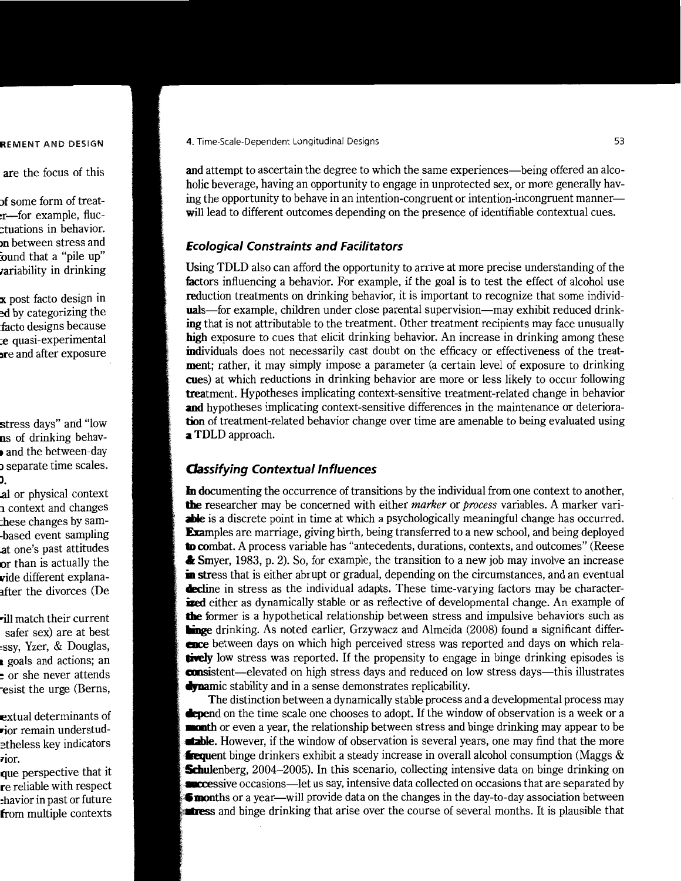and attempt to ascertain the degree to which the same experiences—being offered an alcoholic beverage, having an opportunity to engage in unprotected sex, or more generally having the opportunity to behave in an intention-congruent or intention-incongruent mannerwill lead to different outcomes depending on the presence of identifiable contextual cues.

#### **Ecological Constraints and Facilitators**

Using TDLD also can afford the opportunity to arrive at more precise understanding of the factors influencing a behavior. For example, if the goal is to test the effect of alcohol use reduction treatments on drinking behavior, it is important to recognize that some individuals-for example, children under close parental supervision-may exhibit reduced drinking that is not attributable to the treatment. Other treatment recipients may face unusually high exposure to cues that elicit drinking behavior. An increase in drinking among these individuals does not necessarily cast doubt on the efficacy or effectiveness of the treatment; rather, it may simply impose a parameter (a certain level of exposure to drinking cues) at which reductions in drinking behavior are more or less likely to occur following treatment. Hypotheses implicating context-sensitive treatment-related change in behavior **and** hypotheses implicating context-sensitive differences in the maintenance or deterioration of treatment-related behavior change over time are amenable to being evaluated using **<sup>a</sup>**TDLD approach.

#### **Oassifying Contextual Influences**

In documenting the occurrence of transitions by the individual from one context to another, **the** researcher may be concerned with either *marker* or *process* variables. A marker vari**able** is a discrete point in time at which a psychologically meaningful change has occurred. Examples are marriage, giving birth, being transferred to a new school, and being deployed **to** combat. A process variable has "antecedents, durations, contexts, and outcomes" (Reese & Smyer, 1983, p. 2). So, for example, the transition to a new job may involve an increase **in stress** that is either abrupt or gradual, depending on the circumstances, and an eventual decline in stress as the individual adapts. These time-varying factors may be character**ized** either as dynamically stable or as reflective of developmental change. An example of **the** former is a hypothetical relationship between stress and impulsive behaviors such as **linge** drinking. As noted earlier, Grzywacz and Almeida (2008) found a significant differ**ence** between days on which high perceived stress was reported and days on which rela**lively** low stress was reported. If the propensity to engage in binge drinking episodes is consistent-elevated on high stress days and reduced on low stress days-this illustrates **dynamic** stability and in a sense demonstrates replicability.

The distinction between a dynamically stable process and a developmental process may depend on the time scale one chooses to adopt. If the window of observation is a week or a **month** or even a year, the relationship between stress and binge drinking may appear to be **Extract However, if the window of observation is several years, one may find that the more frequent** binge drinkers exhibit a steady increase in overall alcohol consumption (Maggs & Schulenberg, 2004-2005). In this scenario, collecting intensive data on binge drinking on **successive occasions—let us say, intensive data collected on occasions that are separated by ••n**onths or a year—will provide data on the changes in the day-to-day association between **these** and binge drinking that arise over the course of several months. It is plausible that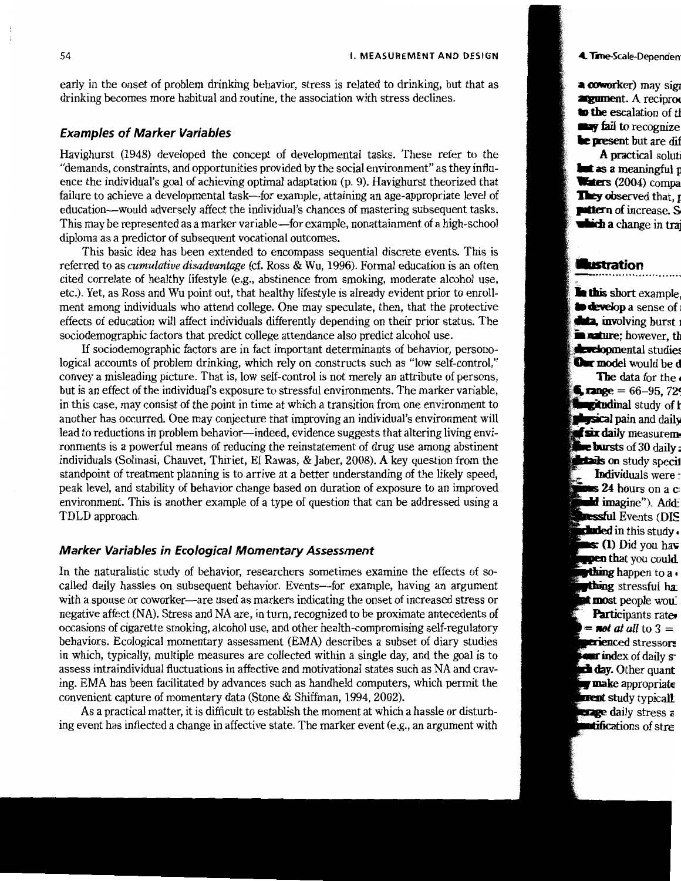early in the onset of problem drinking behavior, stress is related to drinking, but that as drinking becomes more habitual and routine, the association with stress declines.

#### Examples of Marker Variables

Havighurst (1948) developed the concept of developmental tasks. These refer to the "demands, constraints, and opportunities provided by the social environment" as they influence the individual's goal of achieving optimal adaptation (p. 9). Havighurst theorized that failure to achieve a developmental task—for example, attaining an age-appropriate level of education-would adversely affect the individual's chances of mastering subsequent tasks. This may be represented as a marker variable-for example, nonattainment of a high-school diploma as a predictor of subsequent vocational outcomes.

This basic idea has been extended to encompass sequential discrete events. This is referred to as *cumulative disadvantage* (cf. Ross & Wu, 1996). Formal education is an often cited correlate of healthy lifestyle (e.g., abstinence from smoking, moderate alcohol use, etc.). Yet, as Ross and Wu point out, that healthy lifestyle is already evident prior to enrollment among individuals who attend college. One may speculate, then, that the protective effects of education will affect individuals differently depending on their prior status. The sociodemographic factors that predict college attendance also predict alcohol use.

If sociodemographic factors are in fact important determinants of behavior, personological accounts of problem drinking, which rely on constructs such as "low self-control," convey a misleading picture. That is, low self-control is not merely an attribute of persons, but is an effect of the individual's exposure to stressful environments. The marker variable, in this case, may consist of the point in time at which a transition from one environment to another has occurred. One may conjecture that improving an individual's environment will lead to reductions in problem behavior—indeed, evidence suggests that altering living environments is a powerful means of reducing the reinstatement of drug use among abstinent individuals (Solinasi, Chauvet, Thiriet, El Rawas, & Jaber, 2008). A key question from the standpoint of treatment planning is to arrive at a better understanding of the likely speed, peak level, and stability of behavior change based on duration of exposure to an improved environment. This is another example of a type of question that can be addressed using a TDLD approach.

#### Marker Variables in Ecological Momentary Assessment

In the naturalistic study of behavior, researchers sometimes examine the effects of socalled daily hassles on subsequent behavior. Events-for example, having an argument with a spouse or coworker—are used as markers indicating the onset of increased stress or negative affect (NA). Stress and NA are, in turn, recognized to be proximate antecedents of occasions of cigarette smoking, alcohol use, and other health-compromising self-regulatory behaviors. Ecological momentary assessment (EMA) describes a subset of diary studies in which, typically, multiple measures are collected within a single day, and the goal is to assess intraindividual fluctuations in affective and motivational states such as NA and craving. EMA has been facilitated by advances such as handheld computers, which permit the convenient capture of momentary data (Stone & Shiffman, 1994, 2002).

As a practical matter, it is difficult to establish the moment at which a hassle or disturbing event has inflected a change in affective state. The marker event (e.g., an argument with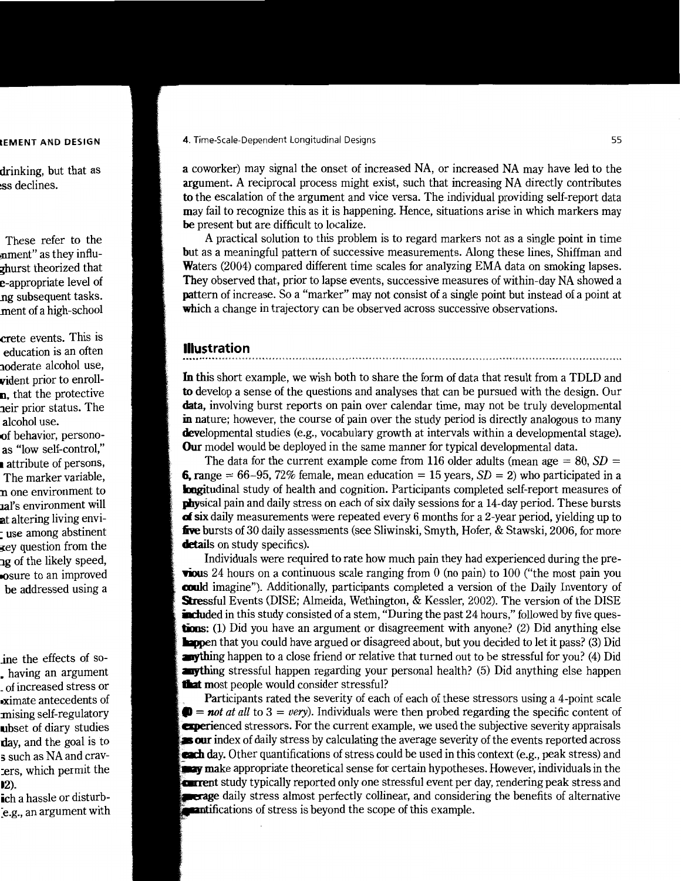a coworker) may signal the onset of increased NA, or increased NA may have led to the argument. A reciprocal process might exist, such that increasing NA directly contributes to the escalation of the argument and vice versa. The individual providing self-report data may fail to recognize this as it is happening. Hence, situations arise in which markers may be present but are difficult to localize.

A practical solution to this problem is to regard markers not as a single point in time but as a meaningful pattern of successive measurements. Along these lines, Shiffman and Waters (2004) compared different time scales for analyzing EMA data on smoking lapses. They observed that, prior to lapse events, successive measures of within-day NA showed a pattern of increase. So a "marker" may not consist of a single point but instead of a point at which a change in trajectory can be observed across successive observations.

#### **Illustration**

In this short example, we wish both to share the form of data that result from a TDLD and to develop a sense of the questions and analyses that can be pursued with the design. Our data, involving burst reports on pain over calendar time, may not be truly developmental **in** nature; however, the course of pain over the study period is directly analogous to many developmental studies (e.g., vocabulary growth at intervals within a developmental stage). **Our** model would be deployed in the same manner for typical developmental data.

The data for the current example come from 116 older adults (mean age  $= 80$ , *SD*  $=$ **6.** range =  $66-95$ ,  $72\%$  female, mean education = 15 years,  $SD = 2$ ) who participated in a **longitudinal study of health and cognition. Participants completed self-report measures of** physical pain and daily stress on each of six daily sessions for a 14-day period. These bursts **at** six daily measurements were repeated every 6 months for a 2-year period, yielding up to **five** bursts of 30 daily assessments (see Sliwinski, Smyth, Hofer, & Stawski, 2006, for more details on study specifics).

Individuals were required to rate how much pain they had experienced during the pre**vious** 24 hours on a continuous scale ranging from 0 (no pain) to 100 ("the most pain you **could** imagine"). Additionally, participants completed a version of the Daily Inventory of **Stressful Events (DISE; Almeida, Wethington, & Kessler, 2002). The version of the DISE** included in this study consisted of a stem, "During the past 24 hours," followed by five ques**tions:** (1) Did you have an argument or disagreement with anyone? (2) Did anything else **lappen** that you could have argued or disagreed about, but you decided to let it pass? (3) Did **anything happen to a close friend or relative that turned out to be stressful for you?** (4) Did **anything** stressful happen regarding your personal health? (5) Did anything else happen **that** most people would consider stressful?

Participants rated the severity of each of each of these stressors using a 4-point scale  $\bullet$  = not at all to 3 = very). Individuals were then probed regarding the specific content of **experienced stressors. For the current example, we used the subjective severity appraisals • our** index of daily stress by calculating the average severity of the events reported across **ach day.** Other quantifications of stress could be used in this context (e.g., peak stress) and **1111-J** make appropriate theoretical sense for certain hypotheses. However, individuals in the **and report study typically reported only one stressful event per day, rendering peak stress and Example 2** daily stress almost perfectly collinear, and considering the benefits of alternative **roughly** relations of stress is beyond the scope of this example.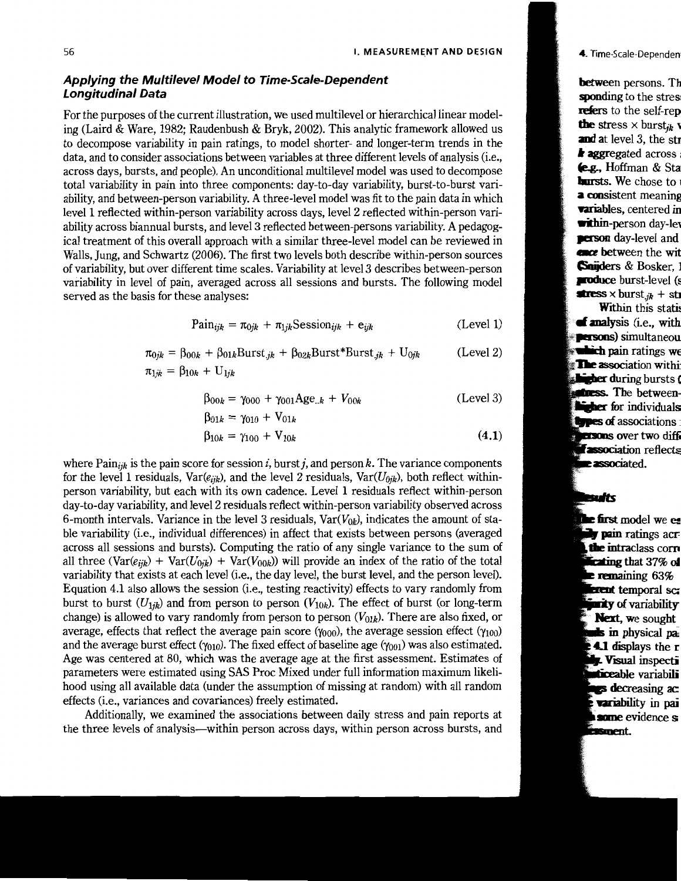#### **Applying the Multilevel Model to Time-Scale-Dependent Longitudinal Data**

For the purposes of the current illustration, we used multilevel or hierarchical linear modeling (Laird & Ware, 1982; Raudenbush & Bryk, 2002). This analytic framework allowed us to decompose variability in pain ratings, to model shorter- and longer-term trends in the data, and to consider associations between variables at three different levels of analysis (i.e., across days, bursts, and people). An unconditional multilevel model was used to decompose total variability in pain into three components: day-to-day variability, burst-to-burst variability, and between-person variability. A three-level model was fit to the pain data in which level 1 reflected within-person variability across days, level 2 reflected within-person variability across biannual bursts, and level 3 reflected between-persons variability. A pedagogical treatment of this overall approach with a similar three-level model can be reviewed in Walls, Jung, and Schwartz (2006). The first two levels both describe within-person sources of variability, but over different time scales. Variability at level 3 describes between-person variability in level of pain, averaged across all sessions and bursts. The following model served as the basis for these analyses:

$$
Pair_{ijk} = \pi_{0jk} + \pi_{1jk}Session_{ijk} + e_{ijk}
$$
 (Level 1)

$$
\pi_{0jk} = \beta_{00k} + \beta_{01k} \text{Burst}_{jk} + \beta_{02k} \text{Burst*Burst}_{jk} + U_{0jk}
$$
 (Level 2)  

$$
\pi_{1jk} = \beta_{10k} + U_{1jk}
$$

$$
\beta_{00k} = \gamma_{000} + \gamma_{001} \text{Age}_{..k} + V_{00k} \tag{Level 3}
$$
\n
$$
\beta_{01k} = \gamma_{010} + V_{01k} \tag{Level 4}
$$

$$
\beta_{10k} = \gamma_{100} + V_{10k} \tag{4.1}
$$

where Pain<sub>ijk</sub> is the pain score for session *i*, burst *j*, and person *k*. The variance components for the level 1 residuals,  $Var(e_{ijk})$ , and the level 2 residuals,  $Var(U_{0ik})$ , both reflect withinperson variability, but each with its own cadence. Level 1 residuals reflect within-person day-to-day variability, and level 2 residuals reflect within-person variability observed across 6-month intervals. Variance in the level 3 residuals,  $Var(V_{0k})$ , indicates the amount of stable variability (i.e., individual differences) in affect that exists between persons (averaged across all sessions and bursts). Computing the ratio of any single variance to the sum of all three  $(\text{Var}(e_{ijk}) + \text{Var}(U_{0ik}) + \text{Var}(V_{00k}))$  will provide an index of the ratio of the total variability that exists at each level (i.e., the day level, the burst level, and the person level). Equation 4.1 also allows the session (i.e., testing reactivity) effects to vary randomly from burst to burst *(U<sub>1jk</sub>)* and from person to person *(V<sub>10k</sub>)*. The effect of burst *(or long-term*) change) is allowed to vary randomly from person to person *(Volk).* There are also fixed, or average, effects that reflect the average pain score  $(y_{000})$ , the average session effect  $(y_{100})$ and the average burst effect ( $\gamma_{010}$ ). The fixed effect of baseline age ( $\gamma_{001}$ ) was also estimated. Age was centered at 80, which was the average age at the first assessment. Estimates of parameters were estimated using SAS Proc Mixed under full information maximum likelihood using all available data (under the assumption of missing at random) with all random effects (i.e., variances and covariances) freely estimated.

Additionally, we examined the associations between daily stress and pain reports at the three levels of analysis-within person across days, within person across bursts, and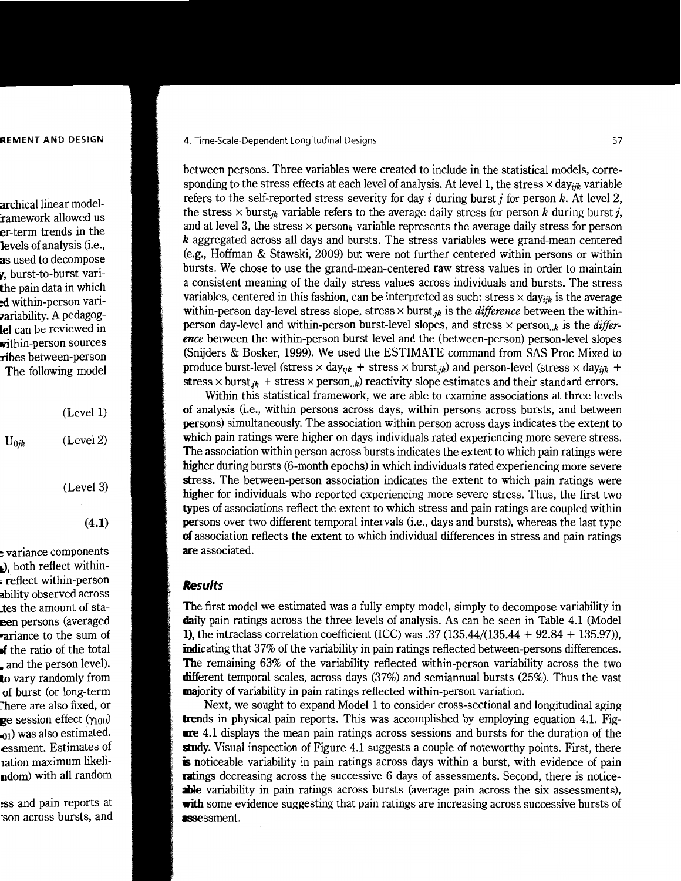between persons. Three variables were created to include in the statistical models, corresponding to the stress effects at each level of analysis. At level 1, the stress  $\times$  day<sub>tik</sub> variable refers to the self-reported stress severity for day  $i$  during burst  $j$  for person  $k$ . At level 2, the stress  $\times$  burst<sub>ik</sub> variable refers to the average daily stress for person k during burst j, and at level 3, the stress  $\times$  person<sub>k</sub> variable represents the average daily stress for person  $k$  aggregated across all days and bursts. The stress variables were grand-mean centered (e.g., Hoffman & Stawski, 2009) but were not further centered within persons or within bursts. We chose to use the grand-mean-centered raw stress values in order to maintain a consistent meaning of the daily stress values across individuals and bursts. The stress variables, centered in this fashion, can be interpreted as such: stress  $\times$  day<sub>iik</sub> is the average within-person day-level stress slope, stress  $\times$  burst<sub>ik</sub> is the *difference* between the withinperson day-level and within-person burst-level slopes, and stress  $\times$  person<sub> $\mu$ </sub> is the *difference* between the within-person burst level and the (between-person) person-level slopes (Snijders & Bosker, 1999). We used the ESTIMATE command from SAS Proc Mixed to produce burst-level (stress  $\times$  day<sub>*ijk*</sub> + stress  $\times$  burst, *j<sub>k</sub>*) and person-level (stress  $\times$  day<sub>*ijk*</sub> + stress  $\times$  burst, $_{ik}$  + stress  $\times$  person  $_{ik}$ ) reactivity slope estimates and their standard errors.

Within this statistical framework, we are able to examine associations at three levels of analysis (i.e., within persons across days, within persons across bursts, and between persons) simultaneously. The association within person across days indicates the extent to which pain ratings were higher on days individuals rated experiencing more severe stress. The association within person across bursts indicates the extent to which pain ratings were higher during bursts (6-month epochs) in which individuals rated experiencing more severe stress. The between-person association indicates the extent to which pain ratings were higher for individuals who reported experiencing more severe stress. Thus, the first two types of associations reflect the extent to which stress and pain ratings are coupled within persons over two different temporal intervals (i.e., days and bursts), whereas the last type of association reflects the extent to which individual differences in stress and pain ratings are associated.

#### *Results*

The first model we estimated was a fully empty model, simply to decompose variability in daily pain ratings across the three levels of analysis. As can be seen in Table 4.1 (Model **1)**, the intraclass correlation coefficient (ICC) was  $.37$  (135.44/(135.44 + 92.84 + 135.97)), indicating that 37% of the variability in pain ratings reflected between-persons differences. The remaining 63% of the variability reflected within-person variability across the two different temporal scales, across days  $(37%)$  and semiannual bursts  $(25%)$ . Thus the vast majority of variability in pain ratings reflected within-person variation.

Next, we sought to expand Model 1 to consider cross-sectional and longitudinal aging **trends** in physical pain reports. This was accomplished by employing equation 4.1. Figure 4.1 displays the mean pain ratings across sessions and bursts for the duration of the study. Visual inspection of Figure 4.1 suggests a couple of noteworthy points. First, there **is** noticeable variability in pain ratings across days within a burst, with evidence of pain **ratings** decreasing across the successive 6 days of assessments. Second, there is notice-**3ble** variability in pain ratings across bursts (average pain across the six assessments), **with** some evidence suggesting that pain ratings are increasing across successive bursts of assessment.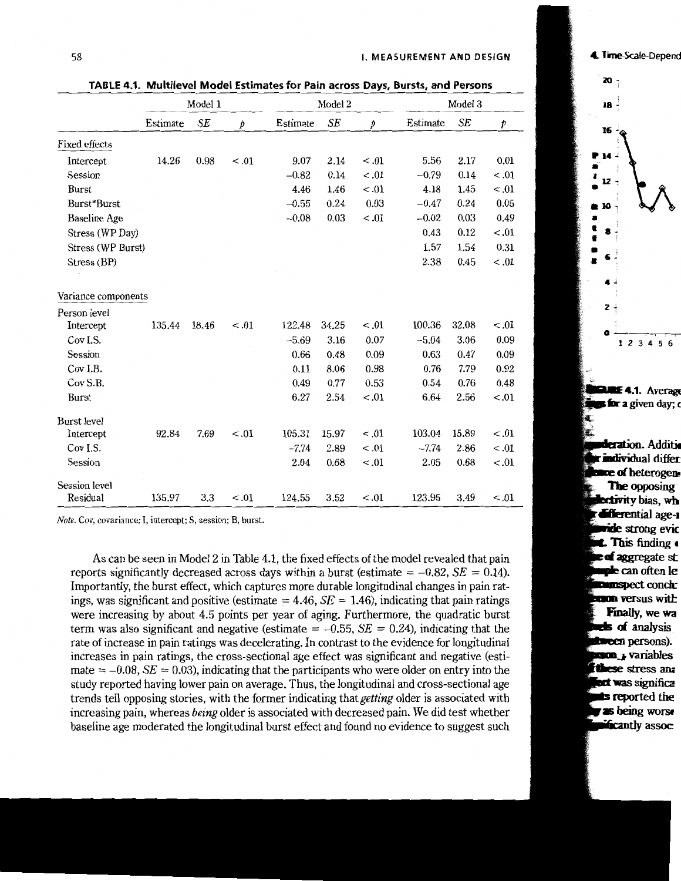|                     | Model 1  |           |        | Model 2  |       |           | Model 3  |       |           |
|---------------------|----------|-----------|--------|----------|-------|-----------|----------|-------|-----------|
|                     | Estimate | $\cal SE$ | Þ      | Estimate | SE    | $\rlap/p$ | Estimate | SE    | $\rlap/v$ |
| Fixed effects       |          |           |        |          |       |           |          |       |           |
| Intercept           | 14.26    | 0.98      | < 0.01 | 9.07     | 2.14  | $-.01$    | 5.56     | 2.17  | 0.01      |
| Session             |          |           |        | $-0.82$  | 0.14  | $-.01$    | $-0.79$  | 0.14  | < 0.01    |
| Burst               |          |           |        | 4.46     | 1.46  | < 0.01    | 4.18     | 1.45  | < 0.01    |
| Burst*Burst         |          |           |        | $-0.55$  | 0.24  | 0.03      | $-0.47$  | 0.24  | 0.05      |
| <b>Baseline Age</b> |          |           |        | $-0.08$  | 0.03  | < 0.01    | $-0.02$  | 0.03  | 0.49      |
| Stress (WP Day)     |          |           |        |          |       |           | 0.43     | 0.12  | $-.01$    |
| Stress (WP Burst)   |          |           |        |          |       |           | 1.57     | 1.54  | 0.31      |
| Stress (BP)         |          |           |        |          |       |           | 2.38     | 0.45  | < .01     |
|                     |          |           |        |          |       |           |          |       |           |
| Variance components |          |           |        |          |       |           |          |       |           |
| Person level        |          |           |        |          |       |           |          |       |           |
| Intercept           | 135.44   | 18.46     | $-.01$ | 122.48   | 34.25 | $-.01$    | 100.36   | 32.08 | < 0.01    |
| Cov I.S.            |          |           |        | $-5.69$  | 3.16  | 0.07      | $-5.04$  | 3.06  | 0.09      |
| Session             |          |           |        | 0.66     | 0.48  | 0.09      | 0.63     | 0.47  | 0.09      |
| Cov I.B.            |          |           |        | 0.11     | 8.06  | 0.98      | 0.76     | 7.79  | 0.92      |
| Cov S.B.            |          |           |        | 0.49     | 0.77  | 0.53      | 0.54     | 0.76  | 0.48      |
| Burst               |          |           |        | 6.27     | 2.54  | < 0.01    | 6.64     | 2.56  | $-.01$    |
| <b>Burst level</b>  |          |           |        |          |       |           |          |       |           |
| Intercept           | 92.84    | 7.69      | < 0.01 | 105.31   | 15.97 | $<.01$    | 103.04   | 15.89 | < 0.01    |
| Cov <sub>I.S.</sub> |          |           |        | $-7.74$  | 2.89  | < 0.01    | $-7.74$  | 2.86  | $<.01$    |
| Session             |          |           |        | 2.04     | 0.68  | < 0.01    | 2.05     | 0.68  | $-.01$    |
| Session level       |          |           |        |          |       |           |          |       |           |
| Residual            | 135.97   | 3.3       | $-.01$ | 124.55   | 3.52  | < 0.01    | 123.95   | 3.49  | $-.01$    |

**TABLE 4.1. Multilevel Model Estimates for Pain across Days, Bursts, and Persons 20** -

*Note.* Cov, covariance; I, intercept; S, session; B, burst.

As can be seen in Model 2 in Table 4.1, the fixed effects of the model revealed that pain reports significantly decreased across days within a burst (estimate  $= -0.82$ , *SE*  $= 0.14$ ). Importantly, the burst effect, which captures more durable longitudinal changes in pain ratings, was significant and positive (estimate  $= 4.46$ ,  $SE = 1.46$ ), indicating that pain ratings were increasing by about 4.5 points per year of aging. Furthermore, the quadratic burst term was also significant and negative (estimate  $= -0.55$ ,  $SE = 0.24$ ), indicating that the rate of increase in pain ratings was decelerating. In contrast to the evidence for longitudinal increases in pain ratings, the cross-sectional age effect was significant and negative (estimate  $= -0.08$ , *SE*  $= 0.03$ ), indicating that the participants who were older on entry into the study reported having lower pain on average. Thus, the longitudinal and cross-sectional age trends tell opposing stories, with the former indicating that *getting* older is associated with increasing pain, whereas *being* older is associated with decreased pain. We did test whether baseline age moderated the longitudinal burst effect and found no evidence to suggest such - **tly assoc**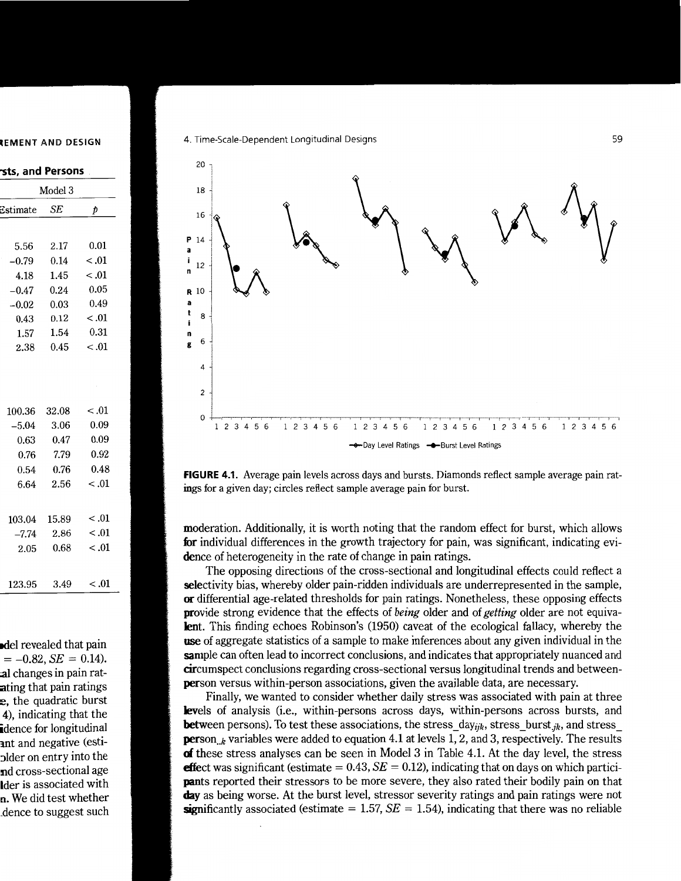

**FIGURE 4.1.** Average pain levels across days and bursts. Diamonds reflect sample average pain ratings for a given day; circles reflect sample average pain for burst.

moderation. Additionally, it is worth noting that the random effect for burst, which allows for individual differences in the growth trajectory for pain, was significant, indicating evidence of heterogeneity in the rate of change in pain ratings.

The opposing directions of the cross-sectional and longitudinal effects could reflect a selectivity bias, whereby older pain-ridden individuals are underrepresented in the sample, **or** differential age-related thresholds for pain ratings. Nonetheless, these opposing effects provide strong evidence that the effects of *being* older and of *getting* older are not equivalent. This finding echoes Robinson's (1950) caveat of the ecological fallacy, whereby the use of aggregate statistics of a sample to make inferences about any given individual in the **sam**ple can often lead to incorrect conclusions, and indicates that appropriately nuanced and circumspect conclusions regarding cross-sectional versus longitudinal trends and betweenperson versus within-person associations, given the available data, are necessary.

Finally, we wanted to consider whether daily stress was associated with pain at three levels of analysis (i.e., within-persons across days, within-persons across bursts, and **between persons).** To test these associations, the stress\_day<sub>ijk</sub>, stress\_burst<sub>,jk</sub>, and stress\_ **pers**on<sub>k</sub> variables were added to equation 4.1 at levels 1, 2, and 3, respectively. The results **of** these stress analyses can be seen in Model 3 in Table 4.1. At the day level, the stress **effect** was significant (estimate  $= 0.43$ ,  $SE = 0.12$ ), indicating that on days on which participants reported their stressors to be more severe, they also rated their bodily pain on that **day** as being worse. At the burst level, stressor severity ratings and pain ratings were not significantly associated (estimate  $= 1.57$ ,  $SE = 1.54$ ), indicating that there was no reliable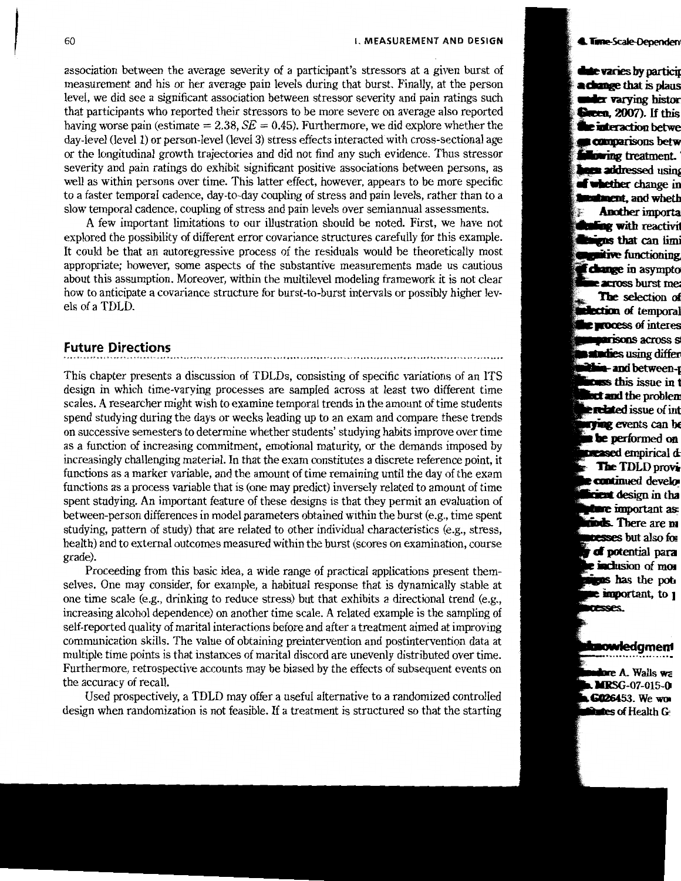Example 20<br>
I. MEASUREMENT AND DESIGN<br>
Secondition between the creation consults of a participant's streament of a site burst of association between the average severity of a participant's stressors at a given burst of measurement and his or her average pain levels during that burst. Finally, at the person level, we did see a significant association between stressor severity and pain ratings such that participants who reported their stressors to be more severe on average also reported having worse pain (estimate  $= 2.38$ ,  $SE = 0.45$ ). Furthermore, we did explore whether the day-level (level 1) or person-level (level 3) stress effects interacted with cross-sectional age or the longitudinal growth trajectories and did not find any such evidence. Thus stressor severity and pain ratings do exhibit significant positive associations between persons, as well as within persons over time. This latter effect, however, appears to be more specific to a faster temporal cadence, day-to-day coupling of stress and pain levels, rather than to a slow temporal cadence, coupling of stress and pain levels over semiannual assessments.

> A few important limitations to our illustration should be noted. First, we have not explored the possibility of different error covariance structures carefully for this example. It could be that an autoregressive process of the residuals would be theoretically most appropriate; however, some aspects of the substantive measurements made us cautious about this assumption. Moreover, within the multilevel modeling framework it is not clear how to anticipate a covariance structure for burst-to-burst intervals or possibly higher levels of a TDLD.

### **Future Directions**

This chapter presents a discussion of TDLDs, consisting of specific variations of an ITS design in which time-varying processes are sampled across at least two different time scales. A researcher might wish to examine temporal trends in the amount of time students spend studying during the days or weeks leading up to an exam and compare these trends on successive semesters to determine whether students' studying habits improve over time as a function of increasing commitment, emotional maturity, or the demands imposed by increasingly challenging material. In that the exam constitutes a discrete reference point, it functions as a marker variable, and the amount of time remaining until the day of the exam functions as a process variable that is (one may predict) inversely related to amount of time spent studying. An important feature of these designs is that they permit an evaluation of between-person differences in model parameters obtained within the burst (e.g., time spent studying, pattern of study) that are related to other individual characteristics (e.g., stress, health) and to external outcomes measured within the burst (scores on examination, course grade).

Proceeding from this basic idea, a wide range of practical applications present themselves. One may consider, for example, a habitual response that is dynamically stable at one time scale (e.g., drinking to reduce stress) but that exhibits a directional trend (e.g., increasing alcohol dependence) on another time scale. A related example is the sampling of self-reported quality of marital interactions before and after a treatment aimed at improving communication skills. The value of obtaining preintervention and postintervention data at multiple time points is that instances of marital discord are unevenly distributed over time. Furthermore, retrospective accounts may be biased by the effects of subsequent events on the accuracy of recall.

Used prospectively, a TDLD may offer a useful alternative to a randomized controlled design when randomization is not feasible. If a treatment is structured so that the starting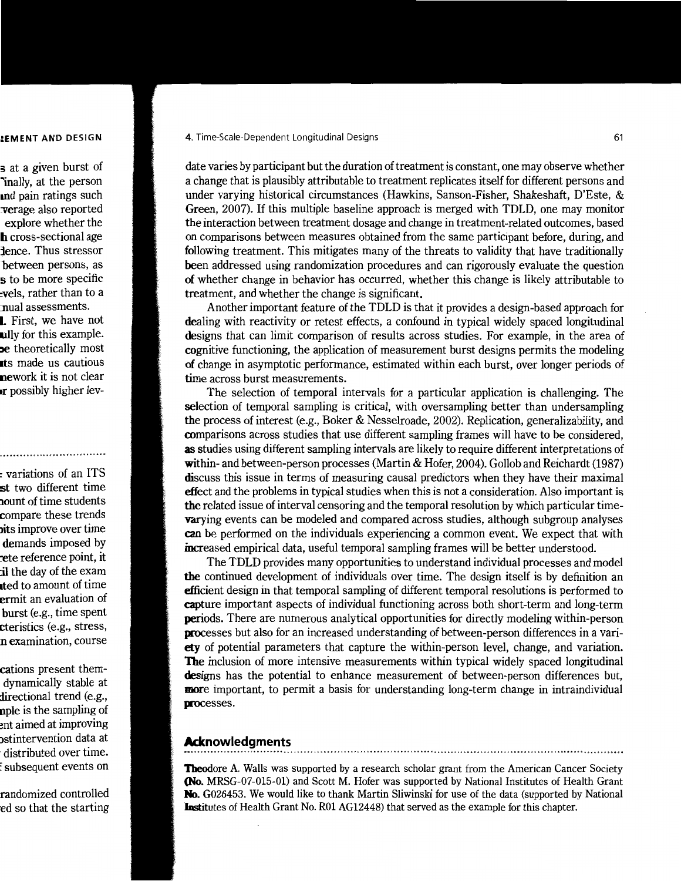date varies by participant but the duration of treatment is constant, one may observe whether a change that is plausibly attributable to treatment replicates itself for different persons and under varying historical circumstances (Hawkins, Sanson-Fisher, Shakeshaft, D'Este, & Green, 2007). If this multiple baseline approach is merged with TOLD, one may monitor the interaction between treatment dosage and change in treatment-related outcomes, based on comparisons between measures obtained from the same participant before, during, and following treatment. This mitigates many of the threats to validity that have traditionally been addressed using randomization procedures and can rigorously evaluate the question of whether change in behavior has occurred, whether this change is likely attributable to treatment, and whether the change is significant.

Another important feature of the TOLD is that it provides a design-based approach for dealing with reactivity or retest effects, a confound in typical widely spaced longitudinal designs that can limit comparison of results across studies. For example, in the area of cognitive functioning, the application of measurement burst designs permits the modeling of change in asymptotic performance, estimated within each burst, over longer periods of time across burst measurements.

The selection of temporal intervals for a particular application is challenging. The selection of temporal sampling is critical, with oversampling better than undersampling the process of interest (e.g., Boker & Nesselroade, 2002). Replication, generalizability, and comparisons across studies that use different sampling frames will have to be considered, as studies using different sampling intervals are likely to require different interpretations of within- and between-person processes (Martin & Hofer, 2004). Gollob and Reichardt (1987) discuss this issue in terms of measuring causal predictors when they have their maximal **effect and the problems in typical studies when this is not a consideration. Also important is** the related issue of interval censoring and the temporal resolution by which particular time**varying** events can be modeled and compared across studies, although subgroup analyses can be performed on the individuals experiencing a common event. We expect that with increased empirical data, useful temporal sampling frames will be better understood.

The TOLD provides many opportunities to understand individual processes and model the continued development of individuals over time. The design itself is by definition an efficient design in that temporal sampling of different temporal resolutions is performed to capture important aspects of individual functioning across both short-term and long-term periods. There are numerous analytical opportunities for directly modeling within-person processes but also for an increased understanding of between-person differences in a variety of potential parameters that capture the within-person level, change, and variation. The inclusion of more intensive measurements within typical widely spaced longitudinal designs has the potential to enhance measurement of between-person differences but, **more** important, to permit a basis for understanding long-term change in intraindividual processes.

#### **Acknowledgments**

**Theodore A. Walls was supported by a research scholar grant from the American Cancer Society** (No. MRSG-07-015-01) and Scott M. Hofer was supported by National Institutes of Health Grant **No.** G026453. We would like to thank Martin Sliwinski for use of the data (supported by National Institutes of Health Grant No. ROI AG12448) that served as the example for this chapter.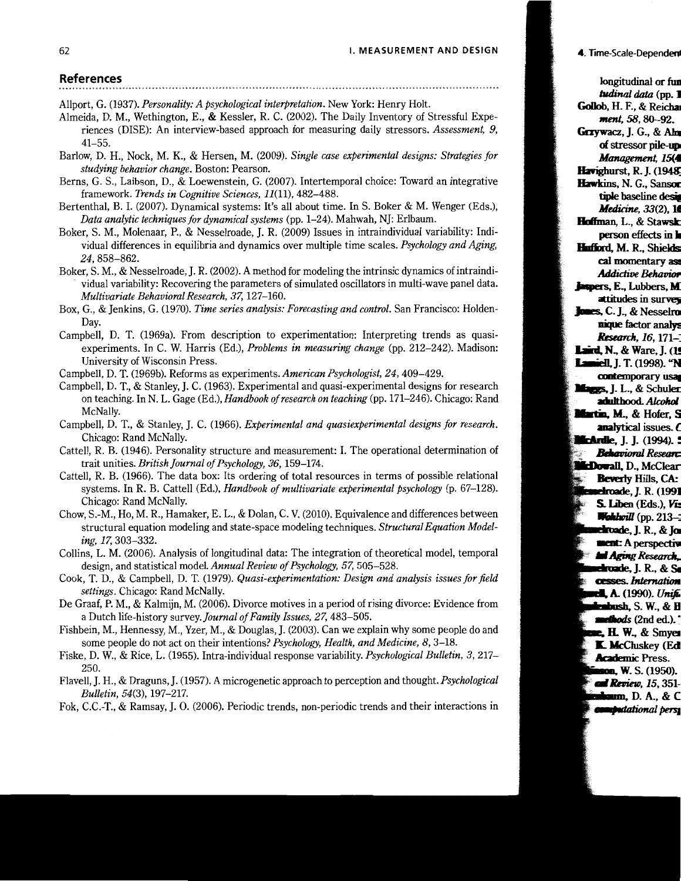#### References

Allport, G. (1937). *Personality: A psychological interpretation.* New York: Henry Holt.

- Almeida, D. M., Wethington, E., & Kessler, R. C. (2002). The Daily Inventory of Stressful Experiences (DISE): An interview-based approach for measuring daily stressors. *Assessment, 9,*  41-55.
- Barlow, D. H., Nock, M. K., & Hersen, M. (2009). *Single case experimental designs: Strategies for studying behavior change.* Boston: Pearson.
- Berns, G. S., Laibson, D., & Loewenstein, G. (2007). Intertemporal choice: Toward an integrative framework. *Trends in Cognitive Sciences,* 11(11), 482-488.
- Bertenthal, B. I. (2007). Dynamical systems: It's all about time. In S. Boker & M. Wenger (Eds.), *Data analytic techniques for dynamical systems* (pp. 1-24). Mahwah, NJ: Erlbaum.
- Boker, S. M., Molenaar, P., & Nesselroade, J. R. (2009) Issues in intraindividual variability: Individual differences in equilibria and dynamics over multiple time scales. *Psychology and Aging, 24,* 858-862.
- Boker, S. M., & Nesselroade, J. R. (2002). A method for modeling the intrinsic dynamics of intraindividual variability: Recovering the parameters of simulated oscillators in multi-wave panel data. *Multivariate Behavioral Research, 37,* 127-160.
- Box, G., & Jenkins, G. (1970). *Time series analysis: Forecasting and control.* San Francisco: Holden-Day.
- Campbell, D. T. (1969a). From description to experimentation: Interpreting trends as quasiexperiments. In C. W. Harris (Ed.), *Problems in measuring change* (pp. 212-242). Madison: University of Wisconsin Press.
- Campbell, D. T. (1969b). Reforms as experiments. *American Psychologist, 24,* 409-429.
- Campbell, D. T., & Stanley, J.C. (1963). Experimental and quasi-experimental designs for research on teaching. In N. L. Gage (Ed.), *Handbook of research on teaching* (pp. 171-246). Chicago: Rand McNally.
- Campbell, D. T., & Stanley, J. C. (1966). *Experimental and quasiexperimental designs for research.*  Chicago: Rand McNally.
- Cattell, R. B. (1946). Personality structure and measurement: I. The operational determination of trait unities. *British journal of Psychology, 36,* 159-174.
- Cattell, R. B. (1966). The data box: Its ordering of total resources in terms of possible relational systems. In R. B. Cattell (Ed.), *Handbook of multivariate experimental psychology* (p. 67-128). Chicago: Rand McNally.
- Chow, S.-M., Ho, M. R., Hamaker, E. L., & Dolan, C. V. (2010). Equivalence and differences between structural equation modeling and state-space modeling techniques. *Structural Equation Modeling, 17,* 303-332.
- Collins, L. M. (2006). Analysis of longitudinal data: The integration of theoretical model, temporal design, and statistical model. *Annual Review of Psychology, 57,* 505-528.
- Cook, T. D., & Campbell, D. T. (1979). *Quasi-experimentation: Design and analysis issues for field settings.* Chicago: Rand McNally.
- De Graaf, P. M., & Kalmijn, M. (2006). Divorce motives in a period of rising divorce: Evidence from a Dutch life-history *survey.journal of Family Issues, 27,* 483-505.
- Fishbein, M., Hennessy, M., Yzer, M., & Douglas, J. (2003). Can we explain why some people do and some people do not act on their intentions? *Psychology, Health, and Medicine, 8,* 3-18.
- Fiske, D. W., & Rice, L. (1955). Intra-individual response variability. *Psychological Bulletin, 3,* 217- 250.
- Flavell, J. H., & Draguns, J. (1957). A microgenetic approach to perception and thought. *Psychological Bulletin, 54(3),* 197-217.
- Fok, C.C.-T., & Ramsay, J. 0. (2006). Periodic trends, non-periodic trends and their interactions in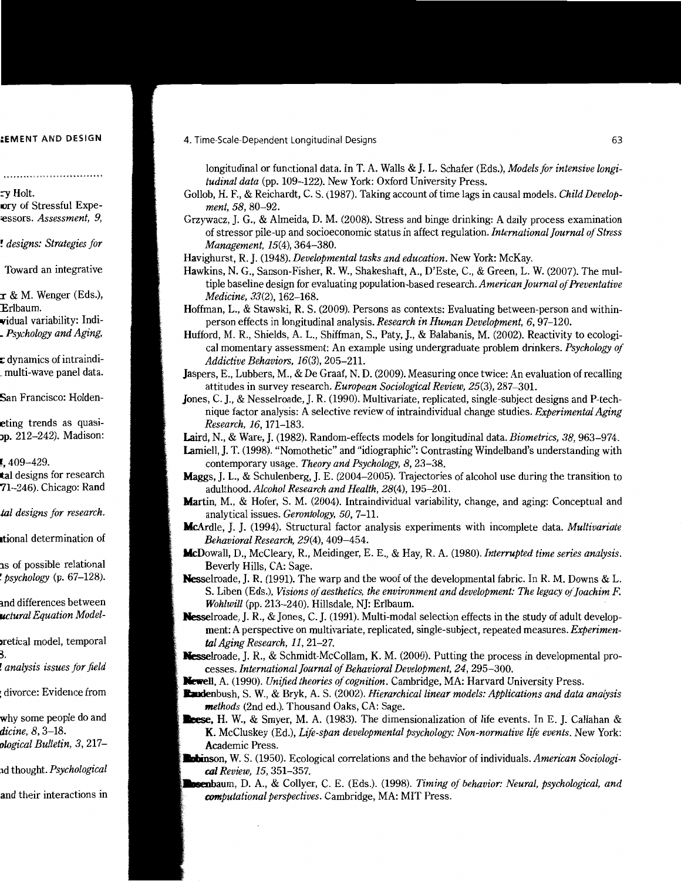longitudinal or functional data. In T. A. Walls & J. L. Schafer (Eds.), *Models for intensive longitudinal data* (pp. 109-122). New York: Oxford University Press.

- Gollob, H. F., & Reichardt, C. S. (1987). Taking account of time lags in causal models. *Child Development, 58,* 80-92.
- Grzywacz, J. G., & Almeida, D. M. (2008). Stress and binge drinking: A daily process examination of stressor pile-up and socioeconomic status in affect regulation. *International Journal of Stress Management, 15(4),* 364-380.
- Havighurst, R. J. (1948). *Developmental tasks and education.* New York: McKay.
- Hawkins, N. G., Sanson-Fisher, R. W., Shakeshaft, A., D'Este, C., & Green, L. W. (2007). The multiple baseline design for evaluating population-based research. *American journal of Preventative Medicine, 33(2),* 162-168.
- Hoffman, L., & Stawski, R. S. (2009). Persons as contexts: Evaluating between-person and withinperson effects in longitudinal analysis. *Research in Human Development, 6,* 97-120.
- Hufford, M. R., Shields, A. L., Shiffman, S., Paty, J., & Balabanis, M. (2002). Reactivity to ecological momentary assessment: An example using undergraduate problem drinkers. *Psychology of Addictive Behaviors, 16(3),* 205-211.
- Jaspers, E., Lubbers, M., & De Graaf, N. D. (2009). Measuring once twice: An evaluation of recalling attitudes in survey research. *European Sociological Review,* 25(3), 287-301.
- Jones, C. J., & Nesselroade, J. R. (1990). Multivariate, replicated, single-subject designs and P-technique factor analysis: A selective review of intraindividual change studies. *Experimental Aging Research, 16,* 171-183.
- Laird, N., & Ware, J. (1982). Random-effects models for longitudinal data. *Biometrics, 38,* 963-974.
- Lamiell, J. T. (1998). "Nomothetic" and "idiographic": Contrasting Windelband's understanding with contemporary usage. *Theory and Psychology, 8,* 23-38.
- Maggs, J. L., & Schulenberg, J. E. (2004–2005). Trajectories of alcohol use during the transition to adulthood. *Alcohol Research and Health,* 28(4), 195-201.
- **Martin, M., & Hofer, S. M. (2004). Intraindividual variability, change, and aging: Conceptual and** analytical issues. *Gerontology, 50,* 7-11.
- McArdle, J. J. (1994). Structural factor analysis experiments with incomplete data. *Multivariate Behavioral Research,* 29(4), 409-454.
- McDowall, D., McCleary, R., Meidinger, E. E., & Hay, R. A. (1980). *Interrupted time series analysis.*  Beverly Hills, CA: Sage.
- Nesselroade, J. R. (1991). The warp and the woof of the developmental fabric. In R. M. Downs & L. S. Liben (Eds.), *Visions of aesthetics, the environment and development: The legacy of Joachim F. Wohlwill* (pp. 213-240). Hillsdale, NJ: Erlbaum.
- Nesselroade, J. R., & Jones, C. J. (1991). Multi-modal selection effects in the study of adult development: A perspective on multivariate, replicated, single-subject, repeated measures. *Experimental Aging Research, 11,* 21-27.
- **Nesselroade, J. R., & Schmidt-McCollam, K. M. (2000). Putting the process in developmental pro**cesses. *International Journal of Behavioral Development, 24,* 295-300.
- Newell, A. (1990). *Unified theories of cognition.* Cambridge, MA: Harvard University Press.
- **Randenbush, S. W., & Bryk, A. S.** (2002). *Hierarchical linear models: Applications and data analysis methods* (2nd ed.). Thousand Oaks, CA: Sage.
- **Reese, H. W., & Smyer, M. A. (1983). The dimensionalization of life events. In E. J. Callahan &** K. McCluskey (Ed.), *Life-span developmental psychology: Non-normative life events.* New York: Academic Press.
- **Robinson, W. S. (1950).** Ecological correlations and the behavior of individuals. *American Sociologi*cal *Review, 15,* 351-357.
- llasenbaum, D. A., & Collyer, C. E. (Eds.). (1998). *Timing of behavior: Neural, psychological, and computational perspectives.* Cambridge, MA: MIT Press.